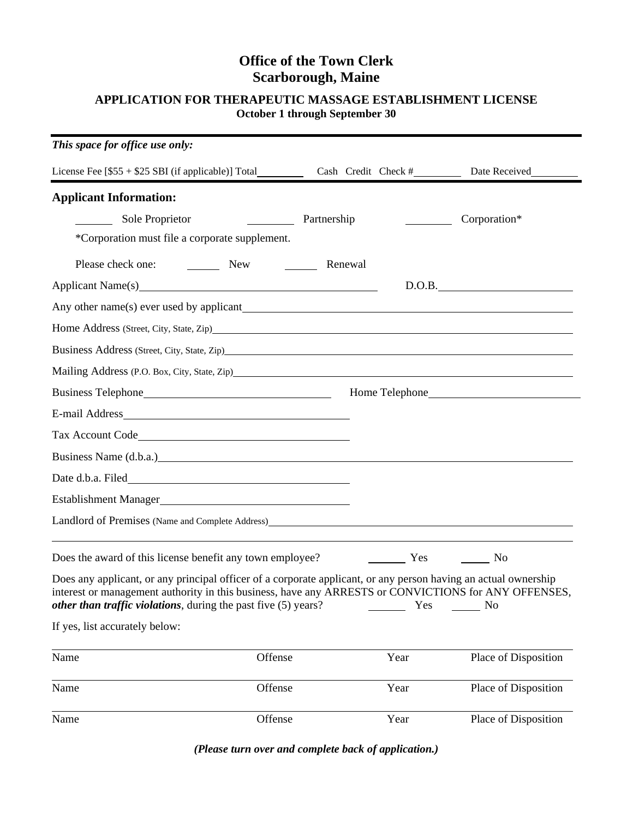# **Office of the Town Clerk Scarborough, Maine**

## **APPLICATION FOR THERAPEUTIC MASSAGE ESTABLISHMENT LICENSE October 1 through September 30**

| This space for office use only:                                                                                                                                                                                                                                                                   |                              |      |                      |
|---------------------------------------------------------------------------------------------------------------------------------------------------------------------------------------------------------------------------------------------------------------------------------------------------|------------------------------|------|----------------------|
|                                                                                                                                                                                                                                                                                                   |                              |      |                      |
| <b>Applicant Information:</b>                                                                                                                                                                                                                                                                     |                              |      |                      |
| Sole Proprietor                                                                                                                                                                                                                                                                                   | <b>Example 2</b> Partnership |      | Corporation*         |
| *Corporation must file a corporate supplement.                                                                                                                                                                                                                                                    |                              |      |                      |
| Please check one: New New 1988                                                                                                                                                                                                                                                                    | Renewal                      |      |                      |
| Applicant Name(s) 2012 12:20 12:20 12:20 12:20 12:20 12:20 12:20 12:20 12:20 12:20 12:20 12:20 12:20 12:20 12:20 12:20 12:20 12:20 12:20 12:20 12:20 12:20 12:20 12:20 12:20 12:20 12:20 12:20 12:20 12:20 12:20 12:20 12:20 1                                                                    |                              |      | D.O.B.               |
|                                                                                                                                                                                                                                                                                                   |                              |      |                      |
|                                                                                                                                                                                                                                                                                                   |                              |      |                      |
| Business Address (Street, City, State, Zip) Manual Assembly 3. November 2014                                                                                                                                                                                                                      |                              |      |                      |
| Mailing Address (P.O. Box, City, State, Zip) Mailing Address (P.O. Box, City, State, Zip)                                                                                                                                                                                                         |                              |      |                      |
|                                                                                                                                                                                                                                                                                                   |                              |      |                      |
|                                                                                                                                                                                                                                                                                                   |                              |      |                      |
| Tax Account Code                                                                                                                                                                                                                                                                                  |                              |      |                      |
| Business Name (d.b.a.) example and the same state of the state of the state of the state of the state of the state of the state of the state of the state of the state of the state of the state of the state of the state of                                                                     |                              |      |                      |
| Date d.b.a. Filed <b>Example 20</b> Second 20 and 20 and 20 and 20 and 20 and 20 and 20 and 20 and 20 and 20 and 20 and 20 and 20 and 20 and 20 and 20 and 20 and 20 and 20 and 20 and 20 and 20 and 20 and 20 and 20 and 20 and 20                                                               |                              |      |                      |
| Establishment Manager<br><u>Establishment</u> Manager                                                                                                                                                                                                                                             |                              |      |                      |
| Landlord of Premises (Name and Complete Address)<br><u>Landlord of Premises</u> (Name and Complete Address)                                                                                                                                                                                       |                              |      |                      |
| Does the award of this license benefit any town employee?                                                                                                                                                                                                                                         |                              |      | No                   |
| Does any applicant, or any principal officer of a corporate applicant, or any person having an actual ownership<br>interest or management authority in this business, have any ARRESTS or CONVICTIONS for ANY OFFENSES,<br><i>other than traffic violations</i> , during the past five (5) years? |                              | Yes  | No                   |
| If yes, list accurately below:                                                                                                                                                                                                                                                                    |                              |      |                      |
| Name<br>Offense                                                                                                                                                                                                                                                                                   |                              | Year | Place of Disposition |
| Name<br>Offense                                                                                                                                                                                                                                                                                   |                              | Year | Place of Disposition |
| Name<br>Offense                                                                                                                                                                                                                                                                                   |                              | Year | Place of Disposition |

*(Please turn over and complete back of application.)*